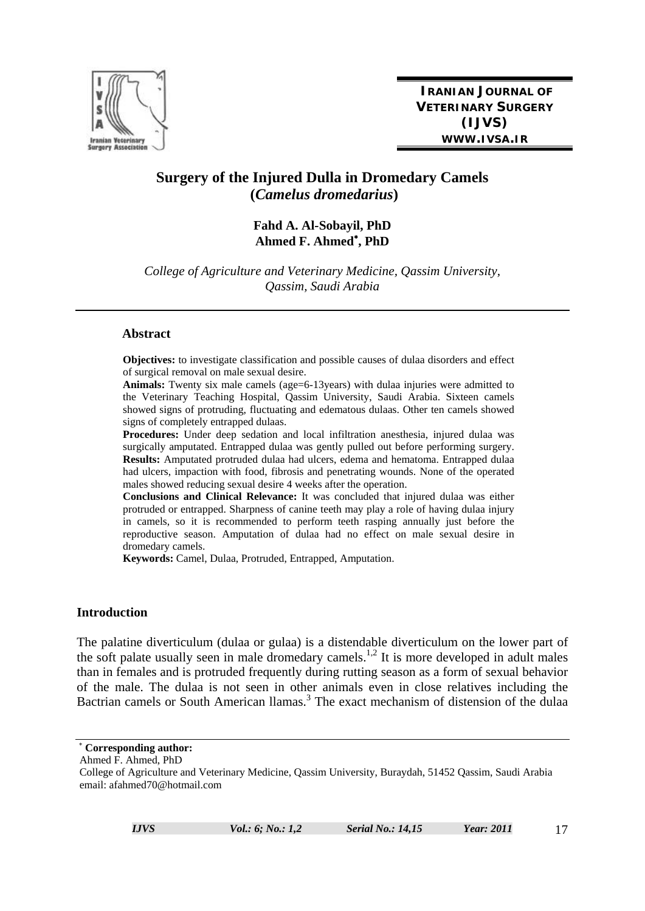

# **Surgery of the Injured Dulla in Dromedary Camels (***Camelus dromedarius***)**

# **Fahd A. Al-Sobayil, PhD Ahmed F. Ahmed**<sup>∗</sup> **, PhD**

*College of Agriculture and Veterinary Medicine, Qassim University, Qassim, Saudi Arabia* 

#### **Abstract**

**Objectives:** to investigate classification and possible causes of dulaa disorders and effect of surgical removal on male sexual desire.

**Animals:** Twenty six male camels (age=6-13years) with dulaa injuries were admitted to the Veterinary Teaching Hospital, Qassim University, Saudi Arabia. Sixteen camels showed signs of protruding, fluctuating and edematous dulaas. Other ten camels showed signs of completely entrapped dulaas.

**Procedures:** Under deep sedation and local infiltration anesthesia, injured dulaa was surgically amputated. Entrapped dulaa was gently pulled out before performing surgery. **Results:** Amputated protruded dulaa had ulcers, edema and hematoma. Entrapped dulaa had ulcers, impaction with food, fibrosis and penetrating wounds. None of the operated males showed reducing sexual desire 4 weeks after the operation.

**Conclusions and Clinical Relevance:** It was concluded that injured dulaa was either protruded or entrapped. Sharpness of canine teeth may play a role of having dulaa injury in camels, so it is recommended to perform teeth rasping annually just before the reproductive season. Amputation of dulaa had no effect on male sexual desire in dromedary camels.

**Keywords:** Camel, Dulaa, Protruded, Entrapped, Amputation.

#### **Introduction**

The palatine diverticulum (dulaa or gulaa) is a distendable diverticulum on the lower part of the soft palate usually seen in male dromedary camels.<sup>1,2</sup> It is more developed in adult males than in females and is protruded frequently during rutting season as a form of sexual behavior of the male. The dulaa is not seen in other animals even in close relatives including the Bactrian camels or South American llamas.<sup>3</sup> The exact mechanism of distension of the dulaa

<sup>∗</sup> **Corresponding author:** 

Ahmed F. Ahmed, PhD College of Agriculture and Veterinary Medicine, Qassim University, Buraydah, 51452 Qassim, Saudi Arabia email: afahmed70@hotmail.com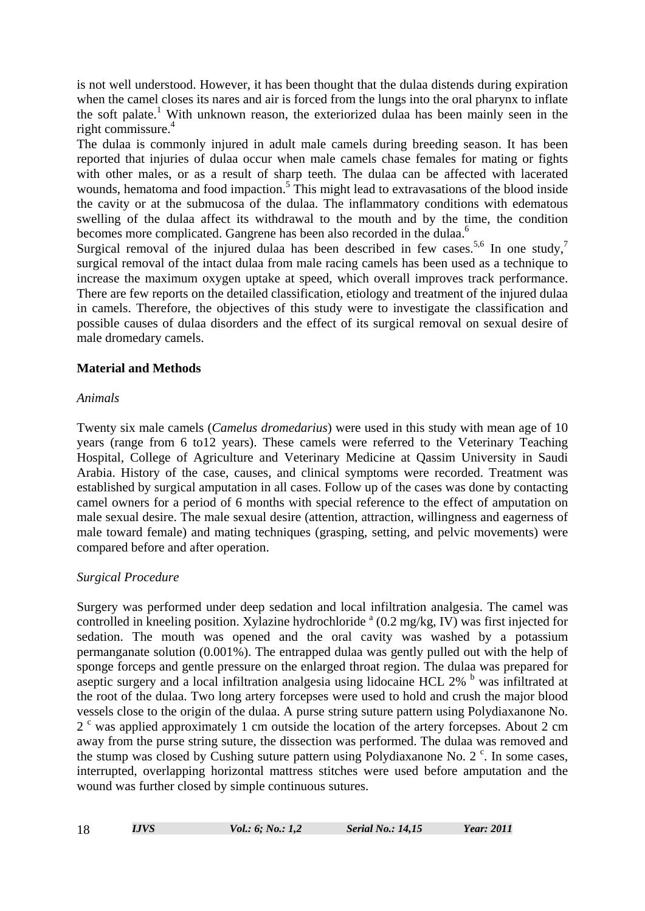is not well understood. However, it has been thought that the dulaa distends during expiration when the camel closes its nares and air is forced from the lungs into the oral pharynx to inflate the soft palate.<sup>1</sup> With unknown reason, the exteriorized dulaa has been mainly seen in the right commissure.<sup>4</sup>

The dulaa is commonly injured in adult male camels during breeding season. It has been reported that injuries of dulaa occur when male camels chase females for mating or fights with other males, or as a result of sharp teeth. The dulaa can be affected with lacerated wounds, hematoma and food impaction.<sup>5</sup> This might lead to extravasations of the blood inside the cavity or at the submucosa of the dulaa. The inflammatory conditions with edematous swelling of the dulaa affect its withdrawal to the mouth and by the time, the condition becomes more complicated. Gangrene has been also recorded in the dulaa.<sup>6</sup>

Surgical removal of the injured dulaa has been described in few cases.<sup>5,6</sup> In one study,<sup>7</sup> surgical removal of the intact dulaa from male racing camels has been used as a technique to increase the maximum oxygen uptake at speed, which overall improves track performance. There are few reports on the detailed classification, etiology and treatment of the injured dulaa in camels. Therefore, the objectives of this study were to investigate the classification and possible causes of dulaa disorders and the effect of its surgical removal on sexual desire of male dromedary camels.

### **Material and Methods**

### *Animals*

Twenty six male camels (*Camelus dromedarius*) were used in this study with mean age of 10 years (range from 6 to12 years). These camels were referred to the Veterinary Teaching Hospital, College of Agriculture and Veterinary Medicine at Qassim University in Saudi Arabia. History of the case, causes, and clinical symptoms were recorded. Treatment was established by surgical amputation in all cases. Follow up of the cases was done by contacting camel owners for a period of 6 months with special reference to the effect of amputation on male sexual desire. The male sexual desire (attention, attraction, willingness and eagerness of male toward female) and mating techniques (grasping, setting, and pelvic movements) were compared before and after operation.

### *Surgical Procedure*

Surgery was performed under deep sedation and local infiltration analgesia. The camel was controlled in kneeling position. Xylazine hydrochloride  $^a$  (0.2 mg/kg, IV) was first injected for sedation. The mouth was opened and the oral cavity was washed by a potassium permanganate solution (0.001%). The entrapped dulaa was gently pulled out with the help of sponge forceps and gentle pressure on the enlarged throat region. The dulaa was prepared for aseptic surgery and a local infiltration analgesia using lidocaine HCL 2% <sup>b</sup> was infiltrated at the root of the dulaa. Two long artery forcepses were used to hold and crush the major blood vessels close to the origin of the dulaa. A purse string suture pattern using Polydiaxanone No. 2<sup>c</sup> was applied approximately 1 cm outside the location of the artery forcepses. About 2 cm away from the purse string suture, the dissection was performed. The dulaa was removed and the stump was closed by Cushing suture pattern using Polydiaxanone No. 2 $\degree$ . In some cases, interrupted, overlapping horizontal mattress stitches were used before amputation and the wound was further closed by simple continuous sutures.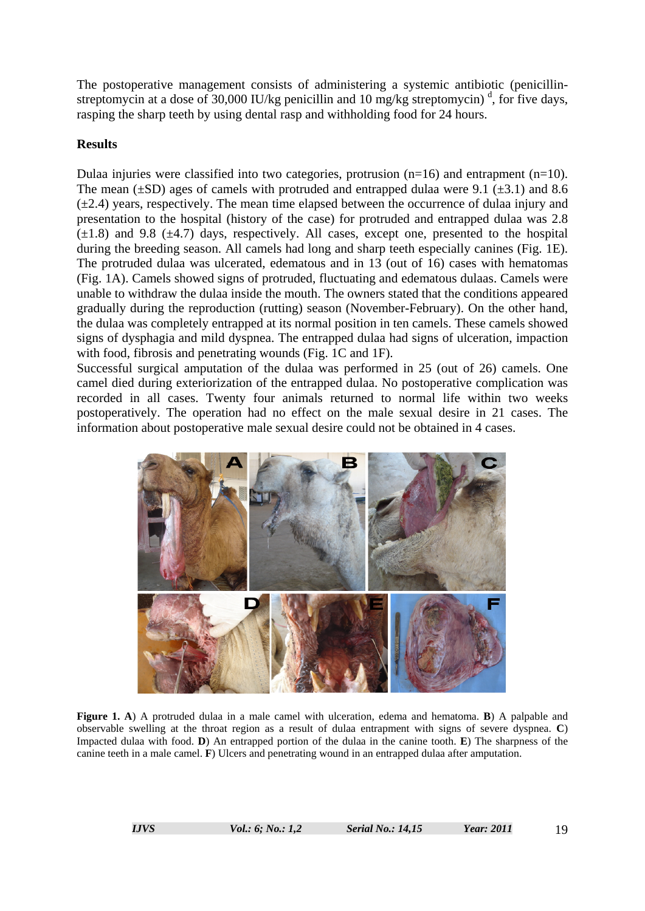The postoperative management consists of administering a systemic antibiotic (penicillinstreptomycin at a dose of 30,000 IU/kg penicillin and 10 mg/kg streptomycin)<sup>d</sup>, for five days, rasping the sharp teeth by using dental rasp and withholding food for 24 hours.

# **Results**

Dulaa injuries were classified into two categories, protrusion  $(n=16)$  and entrapment  $(n=10)$ . The mean  $(\pm SD)$  ages of camels with protruded and entrapped dulaa were 9.1 ( $\pm 3.1$ ) and 8.6  $(\pm 2.4)$  years, respectively. The mean time elapsed between the occurrence of dulaa injury and presentation to the hospital (history of the case) for protruded and entrapped dulaa was 2.8  $(\pm 1.8)$  and 9.8 ( $\pm 4.7$ ) days, respectively. All cases, except one, presented to the hospital during the breeding season. All camels had long and sharp teeth especially canines (Fig. 1E). The protruded dulaa was ulcerated, edematous and in 13 (out of 16) cases with hematomas (Fig. 1A). Camels showed signs of protruded, fluctuating and edematous dulaas. Camels were unable to withdraw the dulaa inside the mouth. The owners stated that the conditions appeared gradually during the reproduction (rutting) season (November-February). On the other hand, the dulaa was completely entrapped at its normal position in ten camels. These camels showed signs of dysphagia and mild dyspnea. The entrapped dulaa had signs of ulceration, impaction with food, fibrosis and penetrating wounds (Fig. 1C and 1F).

Successful surgical amputation of the dulaa was performed in 25 (out of 26) camels. One camel died during exteriorization of the entrapped dulaa. No postoperative complication was recorded in all cases. Twenty four animals returned to normal life within two weeks postoperatively. The operation had no effect on the male sexual desire in 21 cases. The information about postoperative male sexual desire could not be obtained in 4 cases.



**Figure 1. A**) A protruded dulaa in a male camel with ulceration, edema and hematoma. **B**) A palpable and observable swelling at the throat region as a result of dulaa entrapment with signs of severe dyspnea. **C**) Impacted dulaa with food. **D**) An entrapped portion of the dulaa in the canine tooth. **E**) The sharpness of the canine teeth in a male camel. **F**) Ulcers and penetrating wound in an entrapped dulaa after amputation.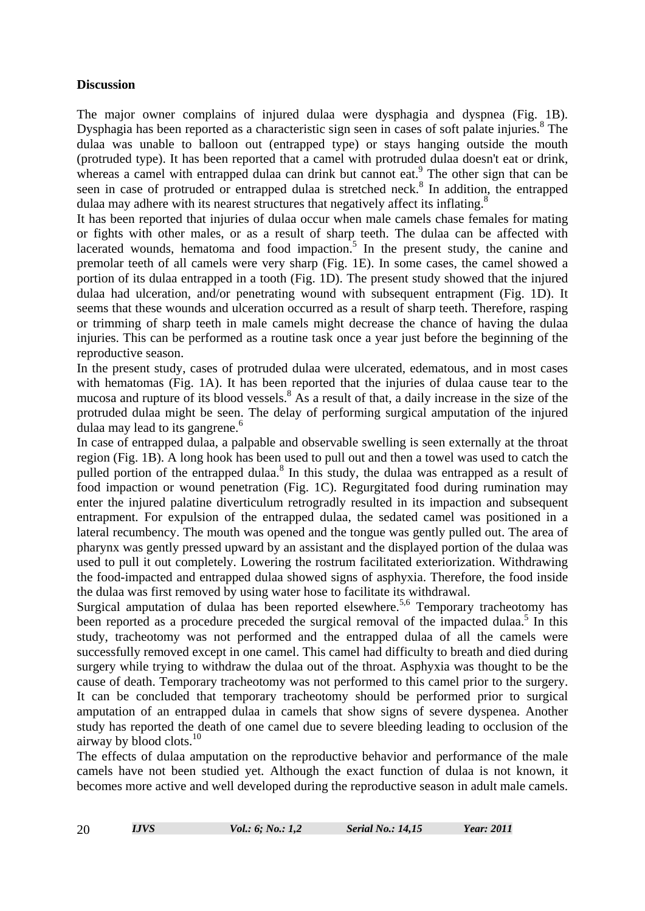### **Discussion**

The major owner complains of injured dulaa were dysphagia and dyspnea (Fig. 1B). Dysphagia has been reported as a characteristic sign seen in cases of soft palate injuries.<sup>8</sup> The dulaa was unable to balloon out (entrapped type) or stays hanging outside the mouth (protruded type). It has been reported that a camel with protruded dulaa doesn't eat or drink, whereas a camel with entrapped dulaa can drink but cannot eat.<sup>9</sup> The other sign that can be seen in case of protruded or entrapped dulaa is stretched neck.<sup>8</sup> In addition, the entrapped dulaa may adhere with its nearest structures that negatively affect its inflating.<sup>8</sup>

It has been reported that injuries of dulaa occur when male camels chase females for mating or fights with other males, or as a result of sharp teeth. The dulaa can be affected with lacerated wounds, hematoma and food impaction. $5$  In the present study, the canine and premolar teeth of all camels were very sharp (Fig. 1E). In some cases, the camel showed a portion of its dulaa entrapped in a tooth (Fig. 1D). The present study showed that the injured dulaa had ulceration, and/or penetrating wound with subsequent entrapment (Fig. 1D). It seems that these wounds and ulceration occurred as a result of sharp teeth. Therefore, rasping or trimming of sharp teeth in male camels might decrease the chance of having the dulaa injuries. This can be performed as a routine task once a year just before the beginning of the reproductive season.

In the present study, cases of protruded dulaa were ulcerated, edematous, and in most cases with hematomas (Fig. 1A). It has been reported that the injuries of dulaa cause tear to the mucosa and rupture of its blood vessels.<sup>8</sup> As a result of that, a daily increase in the size of the protruded dulaa might be seen. The delay of performing surgical amputation of the injured dulaa may lead to its gangrene.<sup>6</sup>

In case of entrapped dulaa, a palpable and observable swelling is seen externally at the throat region (Fig. 1B). A long hook has been used to pull out and then a towel was used to catch the pulled portion of the entrapped dulaa.<sup>8</sup> In this study, the dulaa was entrapped as a result of food impaction or wound penetration (Fig. 1C). Regurgitated food during rumination may enter the injured palatine diverticulum retrogradly resulted in its impaction and subsequent entrapment. For expulsion of the entrapped dulaa, the sedated camel was positioned in a lateral recumbency. The mouth was opened and the tongue was gently pulled out. The area of pharynx was gently pressed upward by an assistant and the displayed portion of the dulaa was used to pull it out completely. Lowering the rostrum facilitated exteriorization. Withdrawing the food-impacted and entrapped dulaa showed signs of asphyxia. Therefore, the food inside the dulaa was first removed by using water hose to facilitate its withdrawal.

Surgical amputation of dulaa has been reported elsewhere.<sup>5,6</sup> Temporary tracheotomy has been reported as a procedure preceded the surgical removal of the impacted dulaa.<sup>5</sup> In this study, tracheotomy was not performed and the entrapped dulaa of all the camels were successfully removed except in one camel. This camel had difficulty to breath and died during surgery while trying to withdraw the dulaa out of the throat. Asphyxia was thought to be the cause of death. Temporary tracheotomy was not performed to this camel prior to the surgery. It can be concluded that temporary tracheotomy should be performed prior to surgical amputation of an entrapped dulaa in camels that show signs of severe dyspenea. Another study has reported the death of one camel due to severe bleeding leading to occlusion of the airway by blood clots. $10$ 

The effects of dulaa amputation on the reproductive behavior and performance of the male camels have not been studied yet. Although the exact function of dulaa is not known, it becomes more active and well developed during the reproductive season in adult male camels.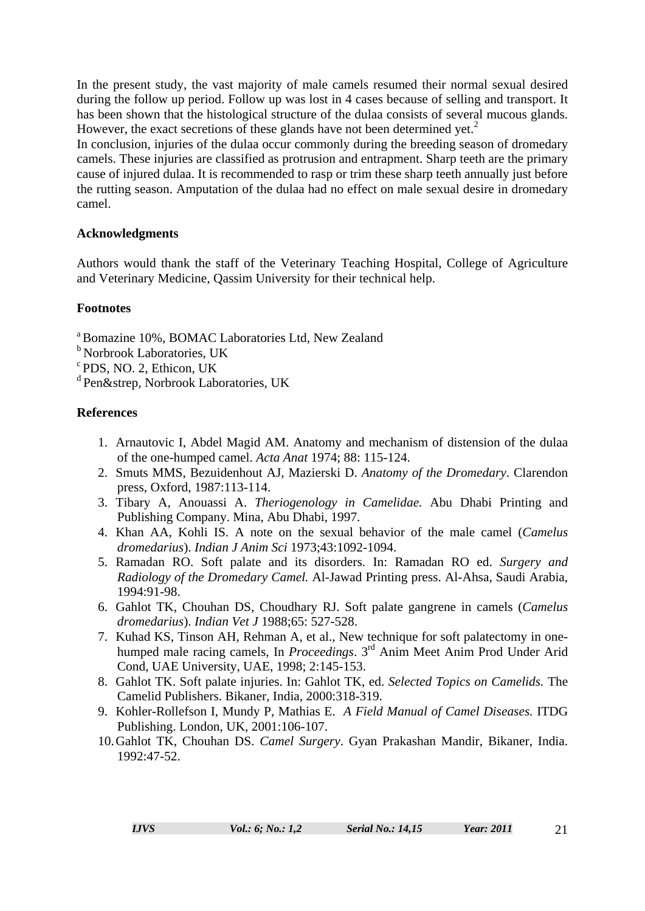In the present study, the vast majority of male camels resumed their normal sexual desired during the follow up period. Follow up was lost in 4 cases because of selling and transport. It has been shown that the histological structure of the dulaa consists of several mucous glands. However, the exact secretions of these glands have not been determined yet.<sup>2</sup>

In conclusion, injuries of the dulaa occur commonly during the breeding season of dromedary camels. These injuries are classified as protrusion and entrapment. Sharp teeth are the primary cause of injured dulaa. It is recommended to rasp or trim these sharp teeth annually just before the rutting season. Amputation of the dulaa had no effect on male sexual desire in dromedary camel.

# **Acknowledgments**

Authors would thank the staff of the Veterinary Teaching Hospital, College of Agriculture and Veterinary Medicine, Qassim University for their technical help.

# **Footnotes**

a Bomazine 10%, BOMAC Laboratories Ltd, New Zealand

- **b** Norbrook Laboratories, UK
- c PDS, NO. 2, Ethicon, UK

d Pen&strep, Norbrook Laboratories, UK

# **References**

- 1. Arnautovic I, Abdel Magid AM. Anatomy and mechanism of distension of the dulaa of the one-humped camel. *Acta Anat* 1974; 88: 115-124.
- 2. Smuts MMS, Bezuidenhout AJ, Mazierski D. *Anatomy of the Dromedary*. Clarendon press, Oxford, 1987:113-114.
- 3. Tibary A, Anouassi A. *Theriogenology in Camelidae.* Abu Dhabi Printing and Publishing Company. Mina, Abu Dhabi, 1997.
- 4. Khan AA, Kohli IS. A note on the sexual behavior of the male camel (*Camelus dromedarius*). *Indian J Anim Sci* 1973;43:1092-1094.
- 5. Ramadan RO. Soft palate and its disorders. In: Ramadan RO ed. *Surgery and Radiology of the Dromedary Camel.* Al-Jawad Printing press. Al-Ahsa, Saudi Arabia, 1994:91-98.
- 6. Gahlot TK, Chouhan DS, Choudhary RJ. Soft palate gangrene in camels (*Camelus dromedarius*). *Indian Vet J* 1988;65: 527-528.
- 7. Kuhad KS, Tinson AH, Rehman A, et al., New technique for soft palatectomy in onehumped male racing camels, In *Proceedings*. 3rd Anim Meet Anim Prod Under Arid Cond, UAE University, UAE, 1998; 2:145-153.
- 8. Gahlot TK. Soft palate injuries. In: Gahlot TK, ed. *Selected Topics on Camelids.* The Camelid Publishers. Bikaner, India, 2000:318-319.
- 9. Kohler-Rollefson I, Mundy P, Mathias E. *A Field Manual of Camel Diseases.* ITDG Publishing. London, UK, 2001:106-107.
- 10.Gahlot TK, Chouhan DS. *Camel Surgery*. Gyan Prakashan Mandir, Bikaner, India. 1992:47-52.